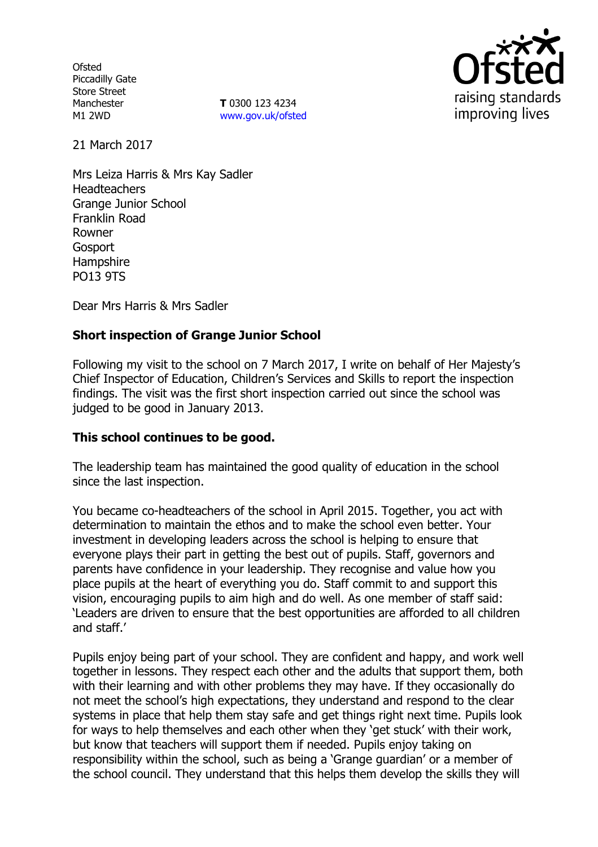**Ofsted** Piccadilly Gate Store Street Manchester M1 2WD

**T** 0300 123 4234 www.gov.uk/ofsted



21 March 2017

Mrs Leiza Harris & Mrs Kay Sadler **Headteachers** Grange Junior School Franklin Road Rowner **Gosport** Hampshire PO13 9TS

Dear Mrs Harris & Mrs Sadler

# **Short inspection of Grange Junior School**

Following my visit to the school on 7 March 2017, I write on behalf of Her Majesty's Chief Inspector of Education, Children's Services and Skills to report the inspection findings. The visit was the first short inspection carried out since the school was judged to be good in January 2013.

## **This school continues to be good.**

The leadership team has maintained the good quality of education in the school since the last inspection.

You became co-headteachers of the school in April 2015. Together, you act with determination to maintain the ethos and to make the school even better. Your investment in developing leaders across the school is helping to ensure that everyone plays their part in getting the best out of pupils. Staff, governors and parents have confidence in your leadership. They recognise and value how you place pupils at the heart of everything you do. Staff commit to and support this vision, encouraging pupils to aim high and do well. As one member of staff said: 'Leaders are driven to ensure that the best opportunities are afforded to all children and staff.'

Pupils enjoy being part of your school. They are confident and happy, and work well together in lessons. They respect each other and the adults that support them, both with their learning and with other problems they may have. If they occasionally do not meet the school's high expectations, they understand and respond to the clear systems in place that help them stay safe and get things right next time. Pupils look for ways to help themselves and each other when they 'get stuck' with their work, but know that teachers will support them if needed. Pupils enjoy taking on responsibility within the school, such as being a 'Grange guardian' or a member of the school council. They understand that this helps them develop the skills they will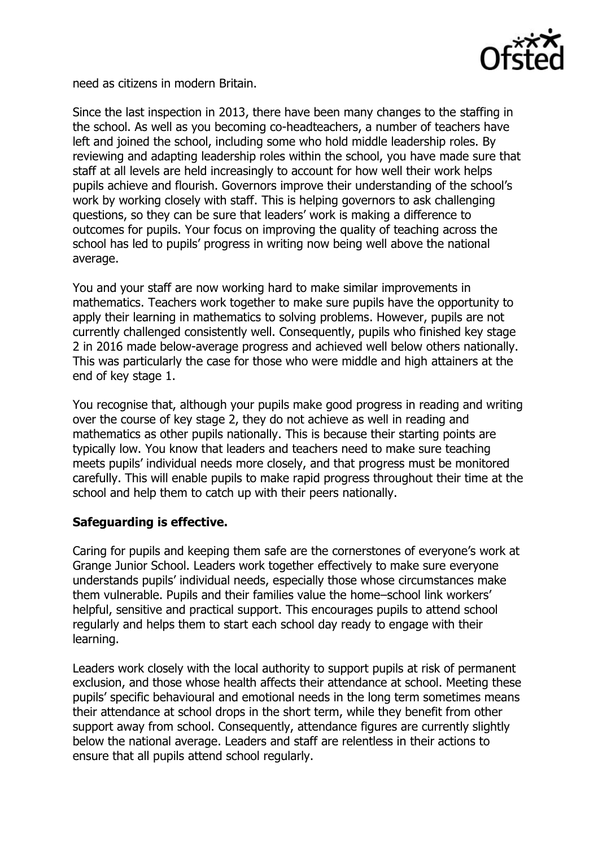

need as citizens in modern Britain.

Since the last inspection in 2013, there have been many changes to the staffing in the school. As well as you becoming co-headteachers, a number of teachers have left and joined the school, including some who hold middle leadership roles. By reviewing and adapting leadership roles within the school, you have made sure that staff at all levels are held increasingly to account for how well their work helps pupils achieve and flourish. Governors improve their understanding of the school's work by working closely with staff. This is helping governors to ask challenging questions, so they can be sure that leaders' work is making a difference to outcomes for pupils. Your focus on improving the quality of teaching across the school has led to pupils' progress in writing now being well above the national average.

You and your staff are now working hard to make similar improvements in mathematics. Teachers work together to make sure pupils have the opportunity to apply their learning in mathematics to solving problems. However, pupils are not currently challenged consistently well. Consequently, pupils who finished key stage 2 in 2016 made below-average progress and achieved well below others nationally. This was particularly the case for those who were middle and high attainers at the end of key stage 1.

You recognise that, although your pupils make good progress in reading and writing over the course of key stage 2, they do not achieve as well in reading and mathematics as other pupils nationally. This is because their starting points are typically low. You know that leaders and teachers need to make sure teaching meets pupils' individual needs more closely, and that progress must be monitored carefully. This will enable pupils to make rapid progress throughout their time at the school and help them to catch up with their peers nationally.

# **Safeguarding is effective.**

Caring for pupils and keeping them safe are the cornerstones of everyone's work at Grange Junior School. Leaders work together effectively to make sure everyone understands pupils' individual needs, especially those whose circumstances make them vulnerable. Pupils and their families value the home–school link workers' helpful, sensitive and practical support. This encourages pupils to attend school regularly and helps them to start each school day ready to engage with their learning.

Leaders work closely with the local authority to support pupils at risk of permanent exclusion, and those whose health affects their attendance at school. Meeting these pupils' specific behavioural and emotional needs in the long term sometimes means their attendance at school drops in the short term, while they benefit from other support away from school. Consequently, attendance figures are currently slightly below the national average. Leaders and staff are relentless in their actions to ensure that all pupils attend school regularly.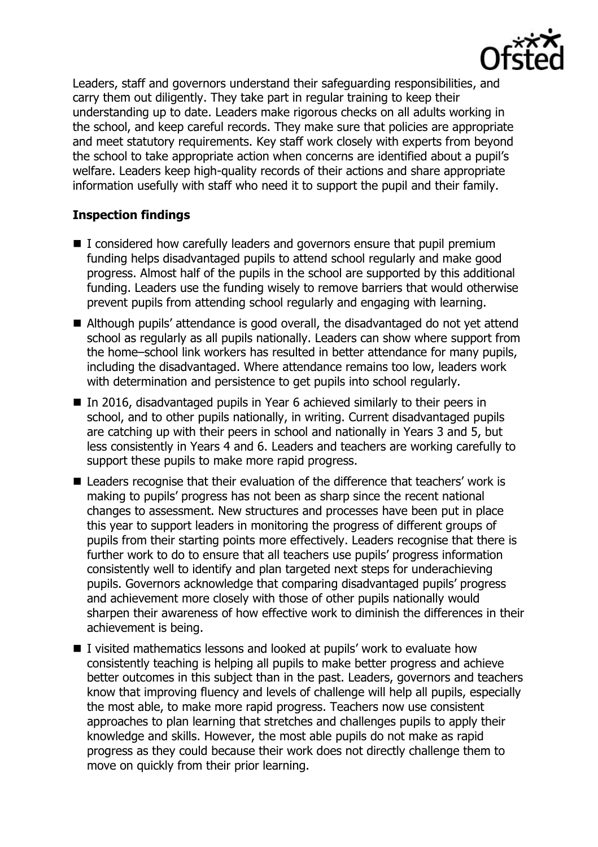

Leaders, staff and governors understand their safeguarding responsibilities, and carry them out diligently. They take part in regular training to keep their understanding up to date. Leaders make rigorous checks on all adults working in the school, and keep careful records. They make sure that policies are appropriate and meet statutory requirements. Key staff work closely with experts from beyond the school to take appropriate action when concerns are identified about a pupil's welfare. Leaders keep high-quality records of their actions and share appropriate information usefully with staff who need it to support the pupil and their family.

## **Inspection findings**

- I considered how carefully leaders and governors ensure that pupil premium funding helps disadvantaged pupils to attend school regularly and make good progress. Almost half of the pupils in the school are supported by this additional funding. Leaders use the funding wisely to remove barriers that would otherwise prevent pupils from attending school regularly and engaging with learning.
- Although pupils' attendance is good overall, the disadvantaged do not yet attend school as regularly as all pupils nationally. Leaders can show where support from the home–school link workers has resulted in better attendance for many pupils, including the disadvantaged. Where attendance remains too low, leaders work with determination and persistence to get pupils into school regularly.
- In 2016, disadvantaged pupils in Year 6 achieved similarly to their peers in school, and to other pupils nationally, in writing. Current disadvantaged pupils are catching up with their peers in school and nationally in Years 3 and 5, but less consistently in Years 4 and 6. Leaders and teachers are working carefully to support these pupils to make more rapid progress.
- Leaders recognise that their evaluation of the difference that teachers' work is making to pupils' progress has not been as sharp since the recent national changes to assessment. New structures and processes have been put in place this year to support leaders in monitoring the progress of different groups of pupils from their starting points more effectively. Leaders recognise that there is further work to do to ensure that all teachers use pupils' progress information consistently well to identify and plan targeted next steps for underachieving pupils. Governors acknowledge that comparing disadvantaged pupils' progress and achievement more closely with those of other pupils nationally would sharpen their awareness of how effective work to diminish the differences in their achievement is being.
- I visited mathematics lessons and looked at pupils' work to evaluate how consistently teaching is helping all pupils to make better progress and achieve better outcomes in this subject than in the past. Leaders, governors and teachers know that improving fluency and levels of challenge will help all pupils, especially the most able, to make more rapid progress. Teachers now use consistent approaches to plan learning that stretches and challenges pupils to apply their knowledge and skills. However, the most able pupils do not make as rapid progress as they could because their work does not directly challenge them to move on quickly from their prior learning.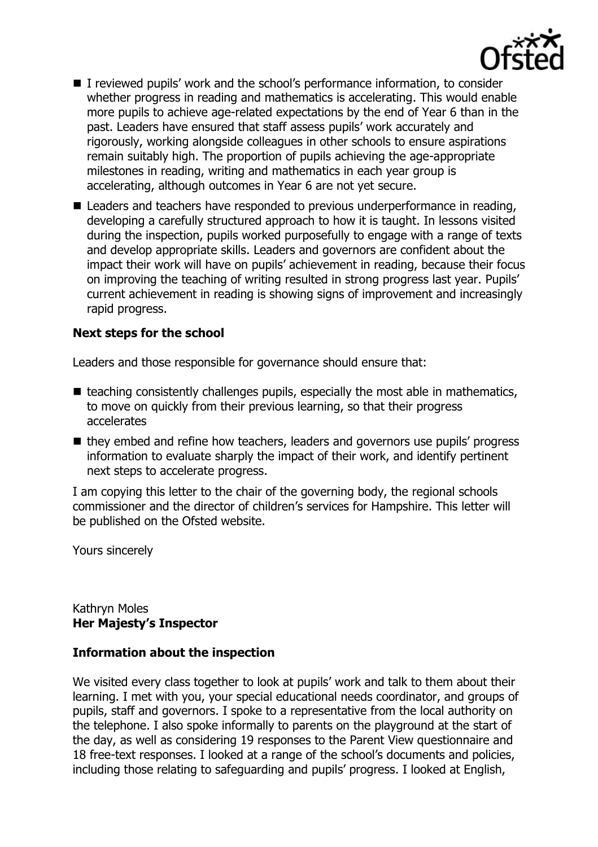

- I reviewed pupils' work and the school's performance information, to consider whether progress in reading and mathematics is accelerating. This would enable more pupils to achieve age-related expectations by the end of Year 6 than in the past. Leaders have ensured that staff assess pupils' work accurately and rigorously, working alongside colleagues in other schools to ensure aspirations remain suitably high. The proportion of pupils achieving the age-appropriate milestones in reading, writing and mathematics in each year group is accelerating, although outcomes in Year 6 are not yet secure.
- Leaders and teachers have responded to previous underperformance in reading, developing a carefully structured approach to how it is taught. In lessons visited during the inspection, pupils worked purposefully to engage with a range of texts and develop appropriate skills. Leaders and governors are confident about the impact their work will have on pupils' achievement in reading, because their focus on improving the teaching of writing resulted in strong progress last year. Pupils' current achievement in reading is showing signs of improvement and increasingly rapid progress.

## **Next steps for the school**

Leaders and those responsible for governance should ensure that:

- $\blacksquare$  teaching consistently challenges pupils, especially the most able in mathematics, to move on quickly from their previous learning, so that their progress accelerates
- they embed and refine how teachers, leaders and governors use pupils' progress information to evaluate sharply the impact of their work, and identify pertinent next steps to accelerate progress.

I am copying this letter to the chair of the governing body, the regional schools commissioner and the director of children's services for Hampshire. This letter will be published on the Ofsted website.

Yours sincerely

Kathryn Moles **Her Majesty's Inspector**

## **Information about the inspection**

We visited every class together to look at pupils' work and talk to them about their learning. I met with you, your special educational needs coordinator, and groups of pupils, staff and governors. I spoke to a representative from the local authority on the telephone. I also spoke informally to parents on the playground at the start of the day, as well as considering 19 responses to the Parent View questionnaire and 18 free-text responses. I looked at a range of the school's documents and policies, including those relating to safeguarding and pupils' progress. I looked at English,